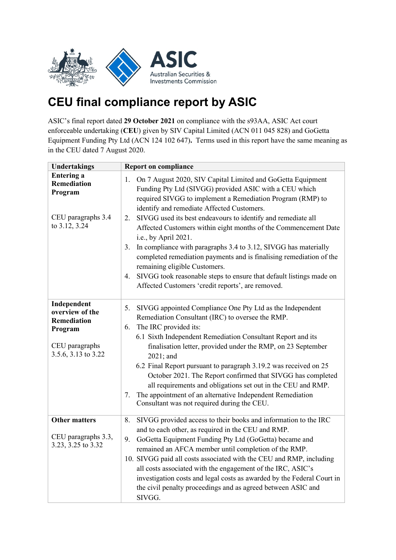

## **CEU final compliance report by ASIC**

ASIC's final report dated **29 October 2021** on compliance with the s93AA, ASIC Act court enforceable undertaking (**CEU**) given by SIV Capital Limited (ACN 011 045 828) and GoGetta Equipment Funding Pty Ltd (ACN 124 102 647)**.** Terms used in this report have the same meaning as in the CEU dated 7 August 2020.

| <b>Undertakings</b>                                                                               | <b>Report on compliance</b>                                                                                                                                                                                                                                                                                                                                                                                                                                                                                                                                                                                         |
|---------------------------------------------------------------------------------------------------|---------------------------------------------------------------------------------------------------------------------------------------------------------------------------------------------------------------------------------------------------------------------------------------------------------------------------------------------------------------------------------------------------------------------------------------------------------------------------------------------------------------------------------------------------------------------------------------------------------------------|
| <b>Entering a</b><br>Remediation<br>Program<br>CEU paragraphs 3.4<br>to 3.12, 3.24                | On 7 August 2020, SIV Capital Limited and GoGetta Equipment<br>1.<br>Funding Pty Ltd (SIVGG) provided ASIC with a CEU which<br>required SIVGG to implement a Remediation Program (RMP) to<br>identify and remediate Affected Customers.<br>SIVGG used its best endeavours to identify and remediate all<br>2.<br>Affected Customers within eight months of the Commencement Date                                                                                                                                                                                                                                    |
|                                                                                                   | i.e., by April 2021.<br>In compliance with paragraphs 3.4 to 3.12, SIVGG has materially<br>3.<br>completed remediation payments and is finalising remediation of the<br>remaining eligible Customers.<br>SIVGG took reasonable steps to ensure that default listings made on<br>4.<br>Affected Customers 'credit reports', are removed.                                                                                                                                                                                                                                                                             |
| Independent<br>overview of the<br>Remediation<br>Program<br>CEU paragraphs<br>3.5.6, 3.13 to 3.22 | SIVGG appointed Compliance One Pty Ltd as the Independent<br>5.<br>Remediation Consultant (IRC) to oversee the RMP.<br>The IRC provided its:<br>6.<br>6.1 Sixth Independent Remediation Consultant Report and its<br>finalisation letter, provided under the RMP, on 23 September<br>2021; and<br>6.2 Final Report pursuant to paragraph 3.19.2 was received on 25<br>October 2021. The Report confirmed that SIVGG has completed<br>all requirements and obligations set out in the CEU and RMP.<br>The appointment of an alternative Independent Remediation<br>7.<br>Consultant was not required during the CEU. |
| <b>Other matters</b><br>CEU paragraphs 3.3,<br>3.23, 3.25 to 3.32                                 | 8.<br>SIVGG provided access to their books and information to the IRC<br>and to each other, as required in the CEU and RMP.<br>GoGetta Equipment Funding Pty Ltd (GoGetta) became and<br>9.<br>remained an AFCA member until completion of the RMP.<br>10. SIVGG paid all costs associated with the CEU and RMP, including<br>all costs associated with the engagement of the IRC, ASIC's<br>investigation costs and legal costs as awarded by the Federal Court in<br>the civil penalty proceedings and as agreed between ASIC and<br>SIVGG.                                                                       |